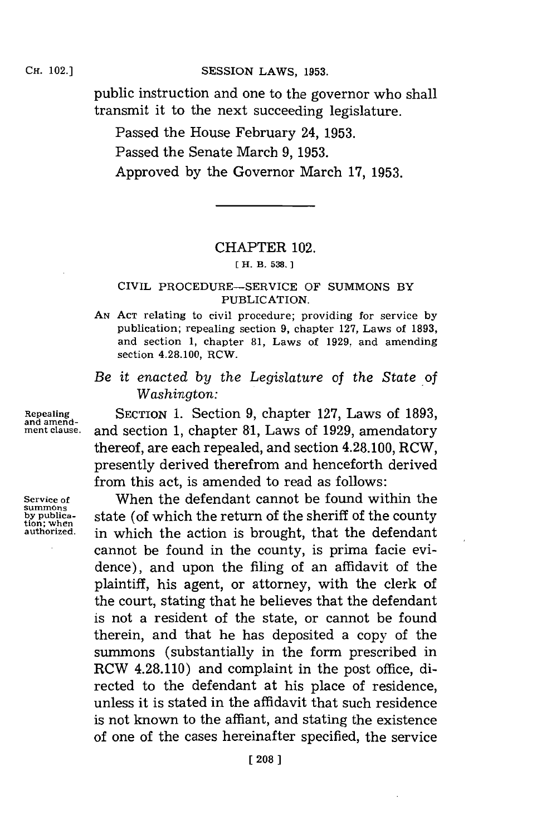public instruction and one to the governor who shall transmit it to the next succeeding legislature.

Passed the House February 24, **1953.**

Passed the Senate March **9, 1953.**

Approved **by** the Governor March **17, 1953.**

## CHAPTER 102.

**IH. 13. 538. 1**

## CIVIL PROCEDURE-SERVICE OF **SUMMONS** BY PUBLICATION.

- **AN ACT** relating to civil procedure; providing for service **by** publication; repealing section **9,** chapter **127,** Laws of **1893,** and section **1,** chapter **81,** Laws of **1929,** and amending section 4.28.100, RCW.
- *Be it enacted by the Legislature* of *the State of Washington:*

**Repealing SECTION 1. Section 9, chapter 127, Laws of 1893, and section 1 chapter 81** Laws of 1929 **amendatory ment clause,** and section **1,** chapter **8-1,** Laws of **1929,** amendatory thereof, are each repealed, and section 4.28.100, RCW, presently derived therefrom and henceforth derived from this act, is amended to read as follows:

Service of **When the defendant cannot be found within the summons**<br>by publica-<br>**Service of which the return of the sheriff of the county by publica-**<br>tion; when<br>authorized. <br>**by** publica-<br>**by** publica-<br>**by** publica-<br>**by** publica-<br>**by** publica-<br>**by** publica-<br>**by** publication; is brought that the defendant **authorized,** in which the action is brought, that the defendant cannot be found in the county, is prima facie evidence), and upon the filing of an affidavit of the plaintiff, his agent, or attorney, with the clerk of the court, stating that he believes that the defendant is not a resident of the state, or cannot be found therein, and that he has deposited a copy of the summons (substantially in the form prescribed in RCW 4.28.110) and complaint in the post office, directed to the defendant at his place of residence, unless it is stated in the affidavit that such residence is not known to the affiant, and stating the existence of one of the cases hereinafter specified, the service